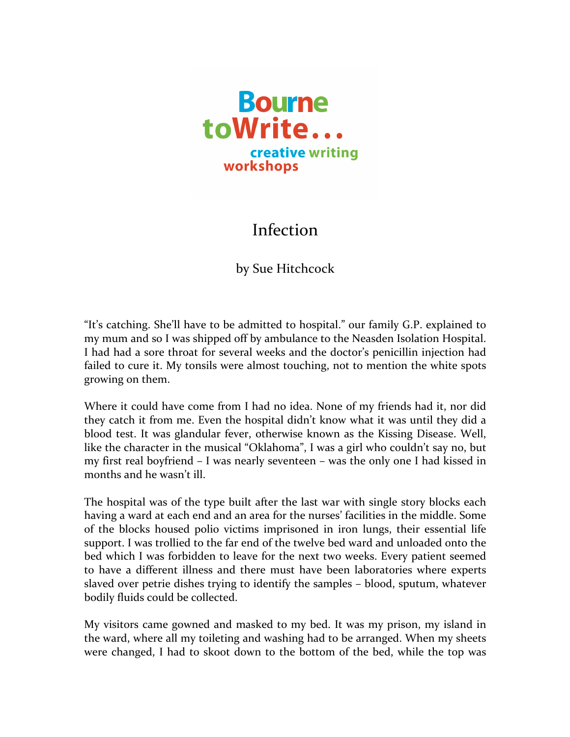

## Infection

## by Sue Hitchcock

"It's catching. She'll have to be admitted to hospital." our family G.P. explained to my mum and so I was shipped off by ambulance to the Neasden Isolation Hospital. I had had a sore throat for several weeks and the doctor's penicillin injection had failed to cure it. My tonsils were almost touching, not to mention the white spots growing on them.

Where it could have come from I had no idea. None of my friends had it, nor did they catch it from me. Even the hospital didn't know what it was until they did a blood test. It was glandular fever, otherwise known as the Kissing Disease. Well, like the character in the musical "Oklahoma", I was a girl who couldn't say no, but my first real boyfriend  $-$  I was nearly seventeen  $-$  was the only one I had kissed in months and he wasn't ill

The hospital was of the type built after the last war with single story blocks each having a ward at each end and an area for the nurses' facilities in the middle. Some of the blocks housed polio victims imprisoned in iron lungs, their essential life support. I was trollied to the far end of the twelve bed ward and unloaded onto the bed which I was forbidden to leave for the next two weeks. Every patient seemed to have a different illness and there must have been laboratories where experts slaved over petrie dishes trying to identify the samples – blood, sputum, whatever bodily fluids could be collected.

My visitors came gowned and masked to my bed. It was my prison, my island in the ward, where all my toileting and washing had to be arranged. When my sheets were changed, I had to skoot down to the bottom of the bed, while the top was